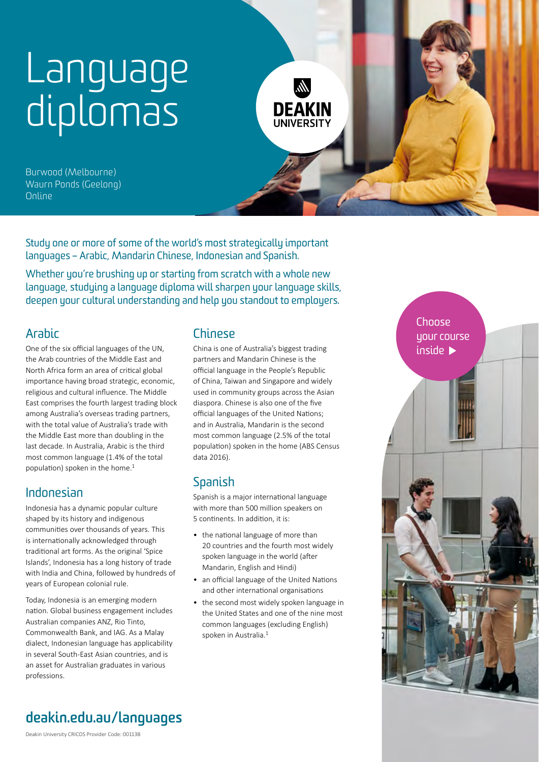# [Language](https://deakin.edu.au/courses/find-a-course/humanities-social-sciences-and-languages)  [diplomas](https://deakin.edu.au/courses/find-a-course/humanities-social-sciences-and-languages)



Burwood (Melbourne) Waurn Ponds (Geelong) Online

Study one or more of some of the world's most strategically important languages – Arabic, Mandarin Chinese, Indonesian and Spanish.

Whether you're brushing up or starting from scratch with a whole new language, studying a language diploma will sharpen your language skills, deepen your cultural understanding and help you standout to employers.

## [Arabic](https://deakin.edu.au/course/diploma-arabic)

One of the six official languages of the UN, the Arab countries of the Middle East and North Africa form an area of critical global importance having broad strategic, economic, religious and cultural influence. The Middle East comprises the fourth largest trading block among Australia's overseas trading partners, with the total value of Australia's trade with the Middle East more than doubling in the last decade. In Australia, Arabic is the third most common language (1.4% of the total population) spoken in the home.<sup>[1](#page-2-0)</sup>

## [Indonesian](https://deakin.edu.au/course/diploma-indonesian)

Indonesia has a dynamic popular culture shaped by its history and indigenous communities over thousands of years. This is internationally acknowledged through traditional art forms. As the original 'Spice Islands', Indonesia has a long history of trade with India and China, followed by hundreds of years of European colonial rule.

Today, Indonesia is an emerging modern nation. Global business engagement includes Australian companies ANZ, Rio Tinto, Commonwealth Bank, and IAG. As a Malay dialect, Indonesian language has applicability in several South-East Asian countries, and is an asset for Australian graduates in various professions.

## [Chinese](https://deakin.edu.au/course/diploma-chinese)

China is one of Australia's biggest trading partners and Mandarin Chinese is the official language in the People's Republic of China, Taiwan and Singapore and widely used in community groups across the Asian diaspora. Chinese is also one of the five official languages of the United Nations; and in Australia, Mandarin is the second most common language (2.5% of the total population) spoken in the home (ABS Census data 2016).

## [Spanish](https://deakin.edu.au/course/diploma-spanish)

Spanish is a major international language with more than 500 million speakers on 5 continents. In addition, it is:

- the national language of more than 20 countries and the fourth most widely spoken language in the world (after Mandarin, English and Hindi)
- an official language of the United Nations and other international organisations
- the second most widely spoken language in the United States and one of the nine most common languages (excluding English) spoken in Australia.<sup>1</sup>



**[deakin.edu.au/languages](https://deakin.edu.au/languages)**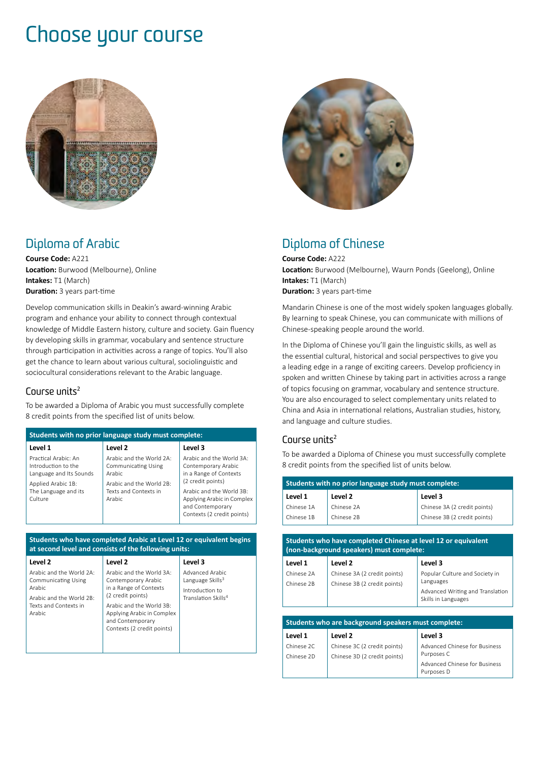# Choose your course



## [Diploma of Arabic](https://deakin.edu.au/course/diploma-arabic)

**Course Code:** A221 **Location:** Burwood (Melbourne), Online **Intakes:** T1 (March) **Duration:** 3 years part-time

Develop communication skills in Deakin's award-winning Arabic program and enhance your ability to connect through contextual knowledge of Middle Eastern history, culture and society. Gain fluency by developing skills in grammar, vocabulary and sentence structure through participation in activities across a range of topics. You'll also get the chance to learn about various cultural, sociolinguistic and sociocultural considerations relevant to the Arabic language.

#### Course units $2$

To be awarded a Diploma of Arabic you must successfully complete 8 credit points from the specified list of units below.

| Students with no prior language study must complete:                                         |                                                                                                     |                                                                                                          |
|----------------------------------------------------------------------------------------------|-----------------------------------------------------------------------------------------------------|----------------------------------------------------------------------------------------------------------|
| Level 1                                                                                      | Level 2                                                                                             | Level 3                                                                                                  |
| Practical Arabic: An<br>Introduction to the<br>Language and Its Sounds<br>Applied Arabic 1B: | Arabic and the World 2A:<br><b>Communicating Using</b><br><b>Arabic</b><br>Arabic and the World 2B: | Arabic and the World 3A:<br>Contemporary Arabic<br>in a Range of Contexts<br>(2 credit points)           |
| The Language and its<br>Culture                                                              | Texts and Contexts in<br>Arabic                                                                     | Arabic and the World 3B:<br>Applying Arabic in Complex<br>and Contemporary<br>Contexts (2 credit points) |

#### **Students who have completed Arabic at Level 12 or equivalent begins at second level and consists of the following units:**

| Level 2                                                          | Level 2                                                                      | Level 3                                            |
|------------------------------------------------------------------|------------------------------------------------------------------------------|----------------------------------------------------|
| Arabic and the World 2A:<br><b>Communicating Using</b><br>Arabic | Arabic and the World 3A:<br>Contemporary Arabic<br>in a Range of Contexts    | Advanced Arabic<br>Language Skills <sup>3</sup>    |
| Arabic and the World 2B:<br>Texts and Contexts in                | (2 credit points)<br>Arabic and the World 3B:                                | Introduction to<br>Translation Skills <sup>4</sup> |
| Arabic                                                           | Applying Arabic in Complex<br>and Contemporary<br>Contexts (2 credit points) |                                                    |
|                                                                  |                                                                              |                                                    |



### [Diploma of Chinese](https://deakin.edu.au/course/diploma-chinese)

**Course Code:** A222 **Location:** Burwood (Melbourne), Waurn Ponds (Geelong), Online **Intakes:** T1 (March) **Duration:** 3 years part-time

Mandarin Chinese is one of the most widely spoken languages globally. By learning to speak Chinese, you can communicate with millions of Chinese-speaking people around the world.

In the Diploma of Chinese you'll gain the linguistic skills, as well as the essential cultural, historical and social perspectives to give you a leading edge in a range of exciting careers. Develop proficiency in spoken and written Chinese by taking part in activities across a range of topics focusing on grammar, vocabulary and sentence structure. You are also encouraged to select complementary units related to China and Asia in international relations, Australian studies, history, and language and culture studies.

#### Course units $2$

To be awarded a Diploma of Chinese you must successfully complete 8 credit points from the specified list of units below.

| Students with no prior language study must complete: |                                                                                                           |                                                         |
|------------------------------------------------------|-----------------------------------------------------------------------------------------------------------|---------------------------------------------------------|
| Level 1                                              | Level <sub>2</sub>                                                                                        | Level 3                                                 |
| Chinese 1A                                           | Chinese 2A                                                                                                | Chinese 3A (2 credit points)                            |
| Chinese 1B                                           | Chinese 2B                                                                                                | Chinese 3B (2 credit points)                            |
|                                                      |                                                                                                           |                                                         |
|                                                      | Students who have completed Chinese at level 12 or equivalent<br>(non-background speakers) must complete: |                                                         |
| Level 1                                              | Level <sub>2</sub>                                                                                        | Level 3                                                 |
| Chinese 2A                                           | Chinese 3A (2 credit points)                                                                              | Popular Culture and Society in                          |
| Chinese 2B                                           | Chinese 3B (2 credit points)                                                                              | Languages                                               |
|                                                      |                                                                                                           | Advanced Writing and Translation<br>Skills in Languages |
|                                                      |                                                                                                           |                                                         |
|                                                      | Students who are background speakers must complete:                                                       |                                                         |
| Level 1                                              | Level 2                                                                                                   | Level 3                                                 |
| Chinese 2C                                           | Chinese 3C (2 credit points)                                                                              | Advanced Chinese for Business                           |
| Chinese 2D                                           | Chinese 3D (2 credit points)                                                                              | Purposes C                                              |
|                                                      |                                                                                                           | Advanced Chinese for Business                           |

Purposes D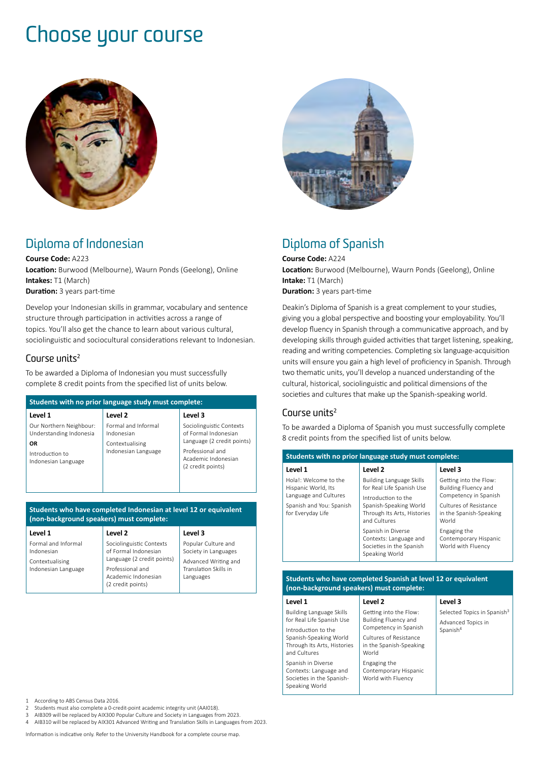## Choose your course



## [Diploma of Indonesian](https://deakin.edu.au/course/diploma-indonesian)

**Course Code:** A223 **Location:** Burwood (Melbourne), Waurn Ponds (Geelong), Online **Intakes:** T1 (March) **Duration:** 3 years part-time

Develop your Indonesian skills in grammar, vocabulary and sentence structure through participation in activities across a range of topics. You'll also get the chance to learn about various cultural, sociolinguistic and sociocultural considerations relevant to Indonesian.

#### Course units<sup>[2](#page-2-1)</sup>

To be awarded a Diploma of Indonesian you must successfully complete 8 credit points from the specified list of units below.

| Students with no prior language study must complete: |                                   |                                                              |
|------------------------------------------------------|-----------------------------------|--------------------------------------------------------------|
| Level 1                                              | Level 2                           | Level 3                                                      |
| Our Northern Neighbour:<br>Understanding Indonesia   | Formal and Informal<br>Indonesian | Sociolinguistic Contexts<br>of Formal Indonesian             |
| OR                                                   | Contextualising                   | Language (2 credit points)                                   |
| Introduction to<br>Indonesian Language               | Indonesian Language               | Professional and<br>Academic Indonesian<br>(2 credit points) |

**Students who have completed Indonesian at level 12 or equivalent (non-background speakers) must complete:** 

| Level 1                                                                     | Level 2                                                                                                                                        | Level 3                                                                                                   |
|-----------------------------------------------------------------------------|------------------------------------------------------------------------------------------------------------------------------------------------|-----------------------------------------------------------------------------------------------------------|
| Formal and Informal<br>Indonesian<br>Contextualising<br>Indonesian Language | Sociolinguistic Contexts<br>of Formal Indonesian<br>Language (2 credit points)<br>Professional and<br>Academic Indonesian<br>(2 credit points) | Popular Culture and<br>Society in Languages<br>Advanced Writing and<br>Translation Skills in<br>Languages |



## [Diploma of Spanish](https://deakin.edu.au/course/diploma-spanish)

**Course Code:** A224 **Location:** Burwood (Melbourne), Waurn Ponds (Geelong), Online **Intake:** T1 (March) **Duration:** 3 years part-time

Deakin's Diploma of Spanish is a great complement to your studies, giving you a global perspective and boosting your employability. You'll develop fluency in Spanish through a communicative approach, and by developing skills through guided activities that target listening, speaking, reading and writing competencies. Completing six language-acquisition units will ensure you gain a high level of proficiency in Spanish. Through two thematic units, you'll develop a nuanced understanding of the cultural, historical, sociolinguistic and political dimensions of the societies and cultures that make up the Spanish-speaking world.

#### Course units $2$

To be awarded a Diploma of Spanish you must successfully complete 8 credit points from the specified list of units below.

| Students with no prior language study must complete:                  |                                                                                                                                                              |                                                                                |
|-----------------------------------------------------------------------|--------------------------------------------------------------------------------------------------------------------------------------------------------------|--------------------------------------------------------------------------------|
| Level 1                                                               | Level 2                                                                                                                                                      | Level 3                                                                        |
| Holal: Welcome to the<br>Hispanic World, Its<br>Language and Cultures | <b>Building Language Skills</b><br>for Real Life Spanish Use<br>Introduction to the<br>Spanish-Speaking World<br>Through Its Arts, Histories<br>and Cultures | Getting into the Flow:<br><b>Building Fluency and</b><br>Competency in Spanish |
| Spanish and You: Spanish<br>for Everyday Life                         |                                                                                                                                                              | Cultures of Resistance<br>in the Spanish-Speaking<br>World                     |
|                                                                       | Spanish in Diverse<br>Contexts: Language and<br>Societies in the Spanish<br>Speaking World                                                                   | Engaging the<br>Contemporary Hispanic<br>World with Fluency                    |

#### **Students who have completed Spanish at level 12 or equivalent (non‑background speakers) must complete:**

| Level 1                                                                                                                                      | Level 2                                                                                                                             | Level 3                                                                               |
|----------------------------------------------------------------------------------------------------------------------------------------------|-------------------------------------------------------------------------------------------------------------------------------------|---------------------------------------------------------------------------------------|
| <b>Building Language Skills</b><br>for Real Life Spanish Use<br>Introduction to the<br>Spanish-Speaking World<br>Through Its Arts, Histories | Getting into the Flow:<br><b>Building Fluency and</b><br>Competency in Spanish<br>Cultures of Resistance<br>in the Spanish-Speaking | Selected Topics in Spanish <sup>3</sup><br>Advanced Topics in<br>Spanish <sup>4</sup> |
| and Cultures<br>Spanish in Diverse<br>Contexts: Language and<br>Societies in the Spanish-<br>Speaking World                                  | World<br>Engaging the<br>Contemporary Hispanic<br>World with Fluency                                                                |                                                                                       |

<span id="page-2-0"></span>1 According to ABS Census Data 2016.<br>2. Students must also complete a 0-cre

- <span id="page-2-2"></span><span id="page-2-1"></span>2 Students must also complete a 0-credit-point academic integrity unit (AAI018).
- 3 AIB309 will be replaced by AIX300 Popular Culture and Society in Languages from 2023.
- <span id="page-2-3"></span>4 AIB310 will be replaced by AIX301 Advanced Writing and Translation Skills in Languages from 2023.

Information is indicative only. Refer to the University Handbook for a complete course map.